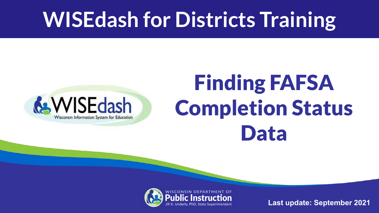### **WISEdash for Districts Training**



## Finding FAFSA Completion Status Data



**Last update: September 2021**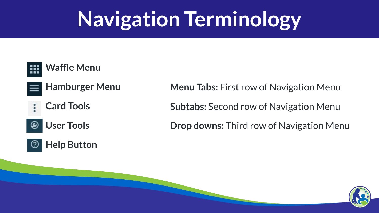### **Navigation Terminology**

#### **Waffle Menu**

- **Hamburger Menu**
- **Card Tools**

#### **User Tools** ◉

#### **Help Button**

**Menu Tabs:** First row of Navigation Menu

**Subtabs:** Second row of Navigation Menu

**Drop downs:** Third row of Navigation Menu

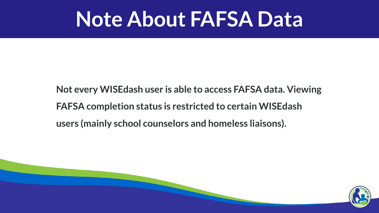#### **Note About FAFSA Data**

**Not every WISEdash user is able to access FAFSA data. Viewing FAFSA completion status is restricted to certain WISEdash users (mainly school counselors and homeless liaisons).**

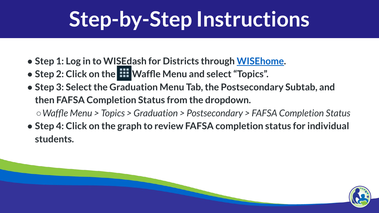### **Step-by-Step Instructions**

- **Step 1: Log in to WISEdash for Districts through [WISEhome](https://dpi.wi.gov/wise/secure-home-info).**
- **Step 2: Click on the Waffle Menu and select "Topics".**
- **Step 3: Select the Graduation Menu Tab, the Postsecondary Subtab, and then FAFSA Completion Status from the dropdown.** *○Waffle Menu > Topics > Graduation > Postsecondary > FAFSA Completion Status*
- **Step 4: Click on the graph to review FAFSA completion status for individual students.**

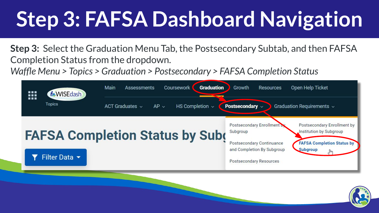# **Step 3: FAFSA Dashboard Navigation**

**Step 3:** Select the Graduation Menu Tab, the Postsecondary Subtab, and then FAFSA Completion Status from the dropdown.

*Waffle Menu > Topics > Graduation > Postsecondary > FAFSA Completion Status*



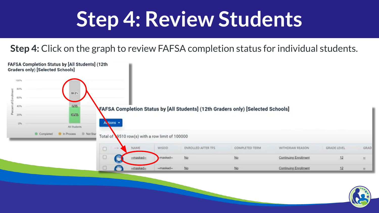### **Step 4: Review Students**

**Step 4:** Click on the graph to review FAFSA completion status for individual students.



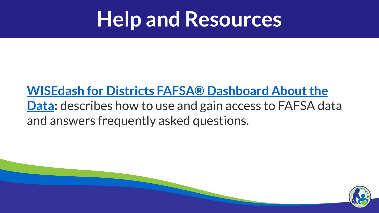### **Help and Resources**

#### **[WISEdash for Districts FAFSA® Dashboard About the](https://www.google.com/url?q=https://dpi.wi.gov/wisedash/districts/about-data/FAFSA&sa=D&source=editors&ust=1629339506909000&usg=AFQjCNEkAd-1TcHOuO76a_HSIak4-qAJ6w) [Data](https://www.google.com/url?q=https://dpi.wi.gov/wisedash/districts/about-data/FAFSA&sa=D&source=editors&ust=1629339506909000&usg=AFQjCNEkAd-1TcHOuO76a_HSIak4-qAJ6w):** describes how to use and gain access to FAFSA data and answers frequently asked questions.

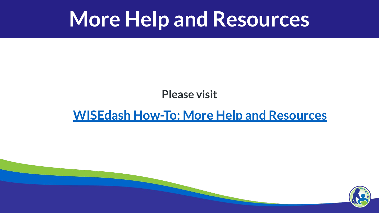#### **More Help and Resources**

#### **Please visit**

#### **[WISEdash How-To: More Help and Resources](https://docs.google.com/presentation/d/1ecMa6LP07ele6CPRALjw5-juVyBgH_UKxpsRBGFqqSc/edit#slide=id.g521e630867_0_944)**